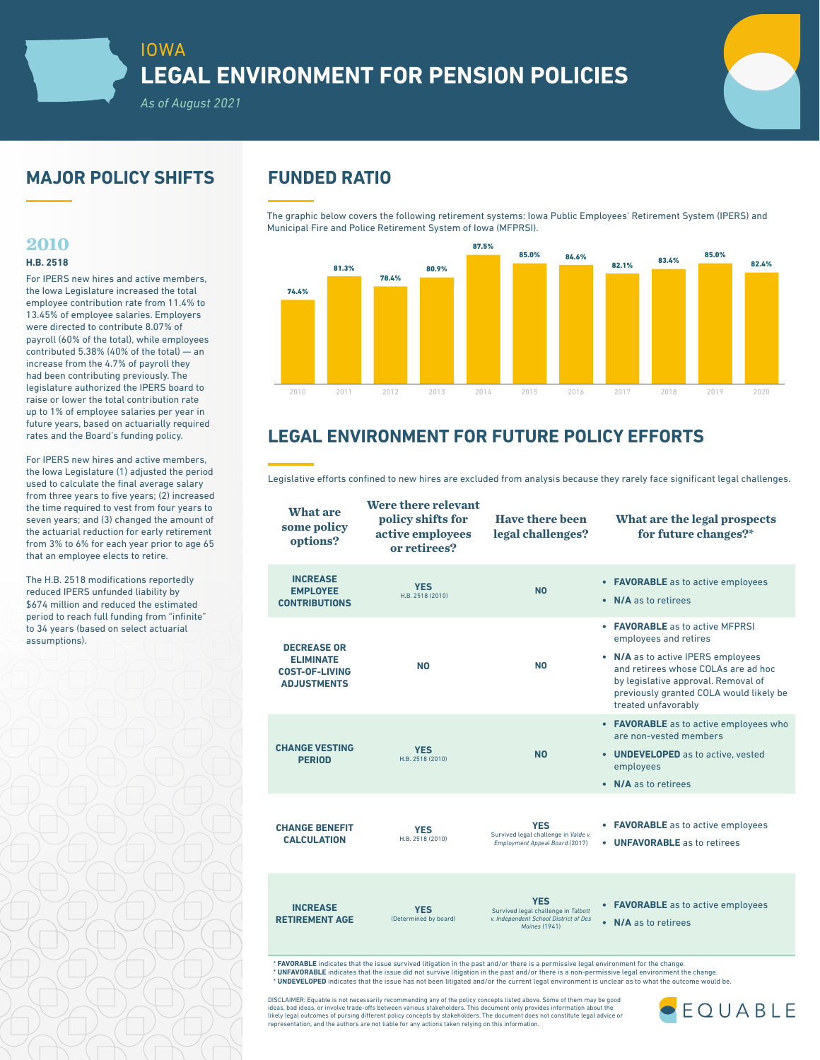

## **MAJOR POLICY SHIFTS FUNDED RATIO**

*As of August 2021*

### **2010**

### **H.B. 2518**

For IPERS new hires and active members, the Iowa Legislature increased the total employee contribution rate from 11.4% to 13.45% of employee salaries. Employers were directed to contribute 8.07% of payroll (60% of the total), while employees contributed 5.38% (40% of the total) — an increase from the 4.7% of payroll they had been contributing previously. The legislature authorized the IPERS board to raise or lower the total contribution rate up to 1% of employee salaries per year in future years, based on actuarially required rates and the Board's funding policy.

For IPERS new hires and active members, the Iowa Legislature (1) adjusted the period used to calculate the final average salary from three years to five years; (2) increased the time required to vest from four years to seven years; and (3) changed the amount of the actuarial reduction for early retirement from 3% to 6% for each year prior to age 65 that an employee elects to retire.

The H.B. 2518 modifications reportedly reduced IPERS unfunded liability by \$674 million and reduced the estimated period to reach full funding from "infinite" to 34 years (based on select actuarial assumptions).

The graphic below covers the following retirement systems: Iowa Public Employees' Retirement System (IPERS) and Municipal Fire and Police Retirement System of Iowa (MFPRSI).



# **LEGAL ENVIRONMENT FOR FUTURE POLICY EFFORTS**

Legislative efforts confined to new hires are excluded from analysis because they rarely face significant legal challenges.

| <b>What are</b><br>some policy<br>options?                                            | Were there relevant<br>policy shifts for<br>active employees<br>or retirees? | <b>Have there been</b><br>legal challenges?                                                                 | What are the legal prospects<br>for future changes?*                                                                                                                                                                                                  |
|---------------------------------------------------------------------------------------|------------------------------------------------------------------------------|-------------------------------------------------------------------------------------------------------------|-------------------------------------------------------------------------------------------------------------------------------------------------------------------------------------------------------------------------------------------------------|
| <b>INCREASE</b><br><b>EMPLOYEE</b><br><b>CONTRIBUTIONS</b>                            | <b>YES</b><br>H.B. 2518 (2010)                                               | <b>NO</b>                                                                                                   | <b>FAVORABLE</b> as to active employees<br>٠<br>N/A as to retirees<br>$\bullet$                                                                                                                                                                       |
| <b>DECREASE OR</b><br><b>ELIMINATE</b><br><b>COST-OF-LIVING</b><br><b>ADJUSTMENTS</b> | N <sub>0</sub>                                                               | NO.                                                                                                         | • <b>FAVORABLE</b> as to active MFPRSI<br>employees and retires<br>• N/A as to active IPERS employees<br>and retirees whose COLAs are ad hoc<br>by legislative approval. Removal of<br>previously granted COLA would likely be<br>treated unfavorably |
| <b>CHANGE VESTING</b><br><b>PERIOD</b>                                                | <b>YES</b><br>H.B. 2518 (2010)                                               | <b>NO</b>                                                                                                   | • FAVORABLE as to active employees who<br>are non-vested members<br>• UNDEVELOPED as to active, vested<br>employees<br>• N/A as to retirees                                                                                                           |
| <b>CHANGE BENEFIT</b><br><b>CALCULATION</b>                                           | <b>YES</b><br>H.B. 2518 (2010)                                               | <b>YES</b><br>Survived legal challenge in Valde v.<br>Employment Appeal Board (2017)                        | <b>FAVORABLE</b> as to active employees<br>٠<br><b>UNFAVORABLE</b> as to retirees<br>٠                                                                                                                                                                |
| <b>INCREASE</b><br><b>RETIREMENT AGE</b>                                              | <b>YES</b><br>(Determined by board)                                          | <b>YES</b><br>Survived legal challenge in Talbott<br>v. Independent School District of Des<br>Moines (1941) | <b>FAVORABLE</b> as to active employees<br>$\bullet$<br>N/A as to retirees<br>$\bullet$                                                                                                                                                               |

**\* FAVORABLE** indicates that the issue survived litigation in the past and/or there is a permissive legal environment for the change.<br>**\* UNFAVORABLE** indicates that the issue did not survive litigation in the past and/or t \* **UNDEVELOPED** indicates that the issue has not been litigated and/or the current legal environment is unclear as to what the outcome would be.

DISCLAIMER: Equable is not necessarily recommending any of the policy concepts listed above. Some of them may be good<br>ideas, bad ideas, or involve trade-offs between various stakeholders. This document only provides inform representation, and the authors are not liable for any actions taken relying on this information.